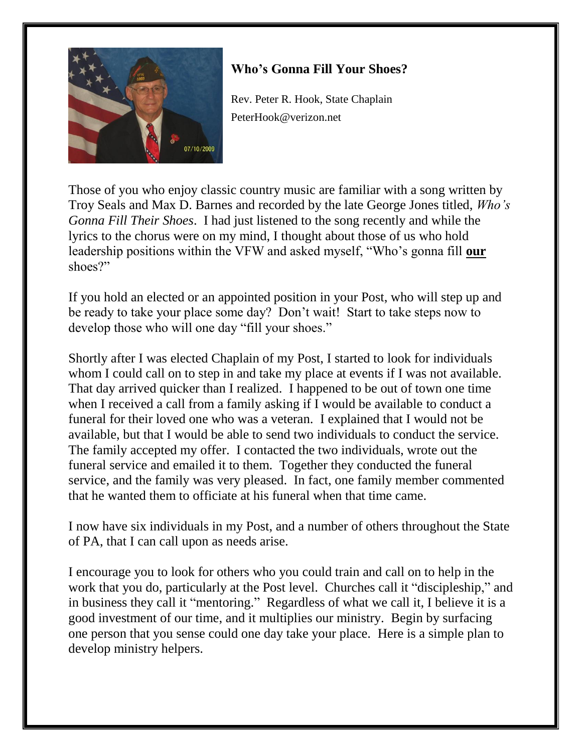

## **Who's Gonna Fill Your Shoes?**

Rev. Peter R. Hook, State Chaplain PeterHook@verizon.net

Those of you who enjoy classic country music are familiar with a song written by Troy Seals and Max D. Barnes and recorded by the late George Jones titled, *Who's Gonna Fill Their Shoes*. I had just listened to the song recently and while the lyrics to the chorus were on my mind, I thought about those of us who hold leadership positions within the VFW and asked myself, "Who's gonna fill **our** shoes?"

If you hold an elected or an appointed position in your Post, who will step up and be ready to take your place some day? Don't wait! Start to take steps now to develop those who will one day "fill your shoes."

Shortly after I was elected Chaplain of my Post, I started to look for individuals whom I could call on to step in and take my place at events if I was not available. That day arrived quicker than I realized. I happened to be out of town one time when I received a call from a family asking if I would be available to conduct a funeral for their loved one who was a veteran. I explained that I would not be available, but that I would be able to send two individuals to conduct the service. The family accepted my offer. I contacted the two individuals, wrote out the funeral service and emailed it to them. Together they conducted the funeral service, and the family was very pleased. In fact, one family member commented that he wanted them to officiate at his funeral when that time came.

I now have six individuals in my Post, and a number of others throughout the State of PA, that I can call upon as needs arise.

I encourage you to look for others who you could train and call on to help in the work that you do, particularly at the Post level. Churches call it "discipleship," and in business they call it "mentoring." Regardless of what we call it, I believe it is a good investment of our time, and it multiplies our ministry. Begin by surfacing one person that you sense could one day take your place. Here is a simple plan to develop ministry helpers.